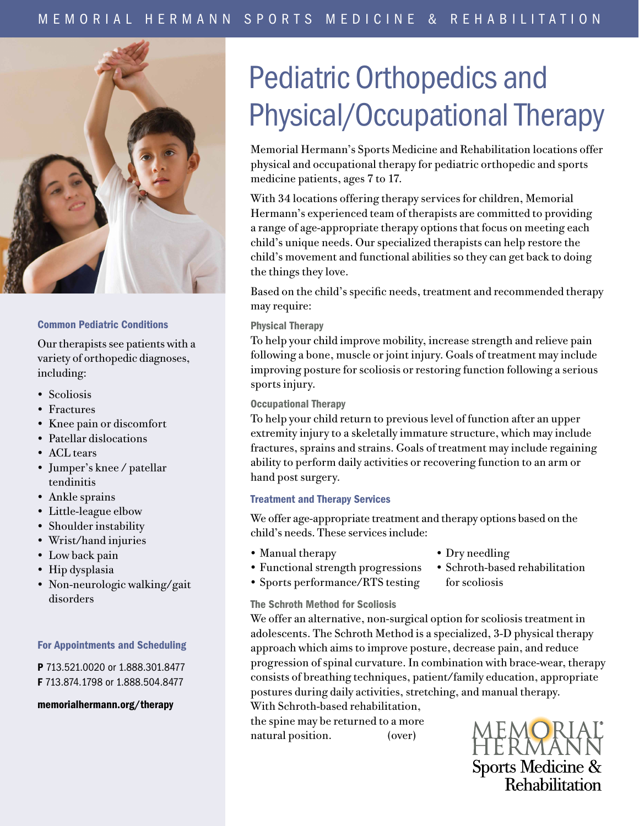

## Common Pediatric Conditions

Our therapists see patients with a variety of orthopedic diagnoses, including:

- Scoliosis
- Fractures
- Knee pain or discomfort
- Patellar dislocations
- ACL tears
- Jumper's knee / patellar tendinitis
- Ankle sprains
- Little-league elbow
- Shoulder instability
- Wrist/hand injuries
- Low back pain
- Hip dysplasia
- Non-neurologic walking/gait disorders

## For Appointments and Scheduling

P 713.521.0020 or 1.888.301.8477 F 713.874.1798 or 1.888.504.8477

memorialhermann.org/therapy

# Pediatric Orthopedics and Physical/Occupational Therapy

Memorial Hermann's Sports Medicine and Rehabilitation locations offer physical and occupational therapy for pediatric orthopedic and sports medicine patients, ages 7 to 17.

With 34 locations offering therapy services for children, Memorial Hermann's experienced team of therapists are committed to providing a range of age-appropriate therapy options that focus on meeting each child's unique needs. Our specialized therapists can help restore the child's movement and functional abilities so they can get back to doing the things they love.

Based on the child's specific needs, treatment and recommended therapy may require:

# Physical Therapy

To help your child improve mobility, increase strength and relieve pain following a bone, muscle or joint injury. Goals of treatment may include improving posture for scoliosis or restoring function following a serious sports injury.

## Occupational Therapy

To help your child return to previous level of function after an upper extremity injury to a skeletally immature structure, which may include fractures, sprains and strains. Goals of treatment may include regaining ability to perform daily activities or recovering function to an arm or hand post surgery.

# Treatment and Therapy Services

We offer age-appropriate treatment and therapy options based on the child's needs. These services include:

• Manual therapy

- Dry needling
- Functional strength progressions
- Sports performance/RTS testing
- Schroth-based rehabilitation for scoliosis
- The Schroth Method for Scoliosis

We offer an alternative, non-surgical option for scoliosis treatment in adolescents. The Schroth Method is a specialized, 3-D physical therapy approach which aims to improve posture, decrease pain, and reduce progression of spinal curvature. In combination with brace-wear, therapy consists of breathing techniques, patient/family education, appropriate postures during daily activities, stretching, and manual therapy. With Schroth-based rehabilitation,

the spine may be returned to a more

natural position. (over)

Sports Medicine &<br>Rehabilitation